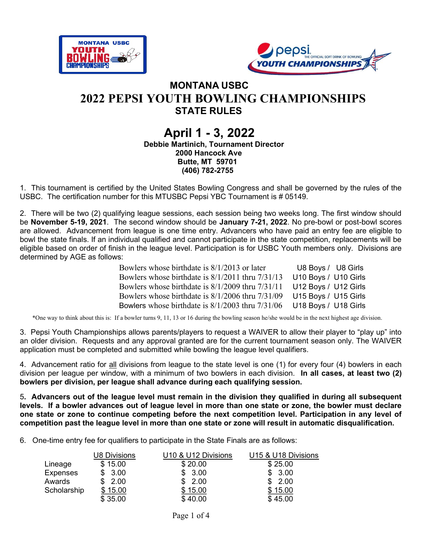



## MONTANA USBC 2022 PEPSI YOUTH BOWLING CHAMPIONSHIPS STATE RULES

#### April 1 - 3, 2022 Debbie Martinich, Tournament Director 2000 Hancock Ave Butte, MT 59701 (406) 782-2755

1. This tournament is certified by the United States Bowling Congress and shall be governed by the rules of the USBC. The certification number for this MTUSBC Pepsi YBC Tournament is # 05149.

2. There will be two (2) qualifying league sessions, each session being two weeks long. The first window should be November 5-19, 2021. The second window should be January 7-21, 2022. No pre-bowl or post-bowl scores are allowed. Advancement from league is one time entry. Advancers who have paid an entry fee are eligible to bowl the state finals. If an individual qualified and cannot participate in the state competition, replacements will be eligible based on order of finish in the league level. Participation is for USBC Youth members only. Divisions are determined by AGE as follows:

| Bowlers whose birthdate is 8/1/2013 or later         | U8 Boys / U8 Girls   |
|------------------------------------------------------|----------------------|
| Bowlers whose birthdate is $8/1/2011$ thru $7/31/13$ | U10 Boys / U10 Girls |
| Bowlers whose birthdate is 8/1/2009 thru 7/31/11     | U12 Boys / U12 Girls |
| Bowlers whose birthdate is 8/1/2006 thru 7/31/09     | U15 Boys / U15 Girls |
| Bowlers whose birthdate is $8/1/2003$ thru $7/31/06$ | U18 Boys / U18 Girls |

\*One way to think about this is: If a bowler turns 9, 11, 13 or 16 during the bowling season he/she would be in the next highest age division.

3. Pepsi Youth Championships allows parents/players to request a WAIVER to allow their player to "play up" into an older division. Requests and any approval granted are for the current tournament season only. The WAIVER application must be completed and submitted while bowling the league level qualifiers.

4. Advancement ratio for all divisions from league to the state level is one (1) for every four (4) bowlers in each division per league per window, with a minimum of two bowlers in each division. In all cases, at least two (2) bowlers per division, per league shall advance during each qualifying session.

5. Advancers out of the league level must remain in the division they qualified in during all subsequent levels. If a bowler advances out of league level in more than one state or zone, the bowler must declare one state or zone to continue competing before the next competition level. Participation in any level of competition past the league level in more than one state or zone will result in automatic disqualification.

6. One-time entry fee for qualifiers to participate in the State Finals are as follows:

|                 | U8 Divisions | U10 & U12 Divisions | U15 & U18 Divisions |
|-----------------|--------------|---------------------|---------------------|
| Lineage         | \$15.00      | \$20.00             | \$25.00             |
| <b>Expenses</b> | \$3.00       | \$3.00              | \$3.00              |
| Awards          | 2.00         | 2.00<br>\$.         | 2.00                |
| Scholarship     | \$15.00      | \$15.00             | \$15.00             |
|                 | \$35.00      | \$40.00             | \$45.00             |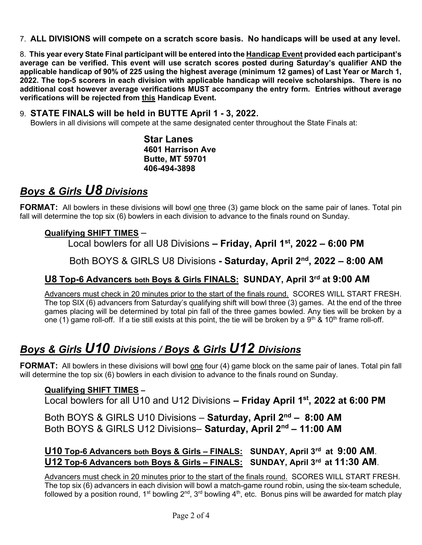7. ALL DIVISIONS will compete on a scratch score basis. No handicaps will be used at any level.

8. This year every State Final participant will be entered into the Handicap Event provided each participant's average can be verified. This event will use scratch scores posted during Saturday's qualifier AND the applicable handicap of 90% of 225 using the highest average (minimum 12 games) of Last Year or March 1, 2022. The top-5 scorers in each division with applicable handicap will receive scholarships. There is no additional cost however average verifications MUST accompany the entry form. Entries without average verifications will be rejected from this Handicap Event.

#### 9. STATE FINALS will be held in BUTTE April 1 - 3, 2022.

Bowlers in all divisions will compete at the same designated center throughout the State Finals at:

Star Lanes 4601 Harrison Ave Butte, MT 59701 406-494-3898

## Boys & Girls U8 Divisions

FORMAT: All bowlers in these divisions will bowl one three (3) game block on the same pair of lanes. Total pin fall will determine the top six (6) bowlers in each division to advance to the finals round on Sunday.

#### Qualifying SHIFT TIMES –

Local bowlers for all U8 Divisions  $-$  Friday, April 1<sup>st</sup>, 2022  $-$  6:00 PM

Both BOYS & GIRLS U8 Divisions - Saturday, April 2<sup>nd</sup>, 2022 - 8:00 AM

## U8 Top-6 Advancers both Boys & Girls FINALS: SUNDAY, April 3rd at 9:00 AM

Advancers must check in 20 minutes prior to the start of the finals round. SCORES WILL START FRESH. The top SIX (6) advancers from Saturday's qualifying shift will bowl three (3) games. At the end of the three games placing will be determined by total pin fall of the three games bowled. Any ties will be broken by a one (1) game roll-off. If a tie still exists at this point, the tie will be broken by a 9<sup>th</sup> & 10<sup>th</sup> frame roll-off.

# Boys & Girls U10 Divisions / Boys & Girls U12 Divisions

FORMAT: All bowlers in these divisions will bowl one four (4) game block on the same pair of lanes. Total pin fall will determine the top six (6) bowlers in each division to advance to the finals round on Sunday.

### Qualifying SHIFT TIMES –

Local bowlers for all U10 and U12 Divisions  $-$  Friday April 1<sup>st</sup>, 2022 at 6:00 PM

Both BOYS & GIRLS U10 Divisions - Saturday, April 2<sup>nd</sup> - 8:00 AM Both BOYS & GIRLS U12 Divisions- Saturday, April 2<sup>nd</sup> - 11:00 AM

## U10 Top-6 Advancers both Boys & Girls – FINALS: SUNDAY, April 3rd at 9:00 AM. U12 Top-6 Advancers both Boys & Girls – FINALS: SUNDAY, April 3rd at 11:30 AM.

Advancers must check in 20 minutes prior to the start of the finals round. SCORES WILL START FRESH. The top six (6) advancers in each division will bowl a match-game round robin, using the six-team schedule, followed by a position round, 1<sup>st</sup> bowling 2<sup>nd</sup>, 3<sup>rd</sup> bowling 4<sup>th</sup>, etc. Bonus pins will be awarded for match play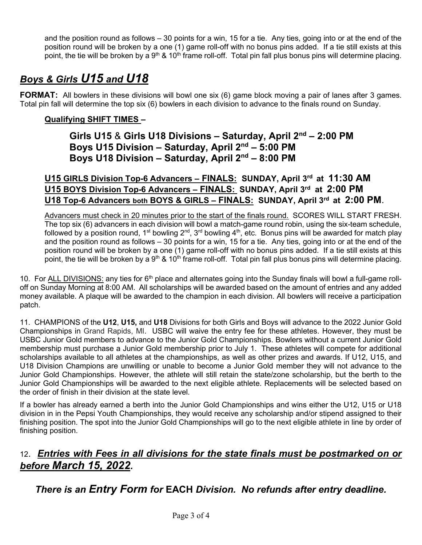and the position round as follows – 30 points for a win, 15 for a tie. Any ties, going into or at the end of the position round will be broken by a one (1) game roll-off with no bonus pins added. If a tie still exists at this point, the tie will be broken by a  $9<sup>th</sup>$  & 10<sup>th</sup> frame roll-off. Total pin fall plus bonus pins will determine placing.

# Boys & Girls U15 and U18

FORMAT: All bowlers in these divisions will bowl one six (6) game block moving a pair of lanes after 3 games. Total pin fall will determine the top six (6) bowlers in each division to advance to the finals round on Sunday.

### Qualifying SHIFT TIMES –

Girls U15 & Girls U18 Divisions - Saturday, April 2<sup>nd</sup> - 2:00 PM Boys U15 Division – Saturday, April 2nd – 5:00 PM Boys U18 Division – Saturday, April 2nd – 8:00 PM

U15 GIRLS Division Top-6 Advancers – FINALS: SUNDAY, April 3rd at 11:30 AM U15 BOYS Division Top-6 Advancers - FINALS: SUNDAY, April 3rd at 2:00 PM U18 Top-6 Advancers both BOYS & GIRLS - FINALS: SUNDAY, April 3rd at 2:00 PM.

Advancers must check in 20 minutes prior to the start of the finals round. SCORES WILL START FRESH. The top six (6) advancers in each division will bowl a match-game round robin, using the six-team schedule, followed by a position round, 1<sup>st</sup> bowling 2<sup>nd</sup>, 3<sup>rd</sup> bowling 4<sup>th</sup>, etc. Bonus pins will be awarded for match play and the position round as follows – 30 points for a win, 15 for a tie. Any ties, going into or at the end of the position round will be broken by a one (1) game roll-off with no bonus pins added. If a tie still exists at this point, the tie will be broken by a  $9<sup>th</sup>$  & 10<sup>th</sup> frame roll-off. Total pin fall plus bonus pins will determine placing.

10. For ALL DIVISIONS: any ties for  $6<sup>th</sup>$  place and alternates going into the Sunday finals will bowl a full-game rolloff on Sunday Morning at 8:00 AM. All scholarships will be awarded based on the amount of entries and any added money available. A plaque will be awarded to the champion in each division. All bowlers will receive a participation patch.

11. CHAMPIONS of the U12, U15, and U18 Divisions for both Girls and Boys will advance to the 2022 Junior Gold Championships in Grand Rapids, MI. USBC will waive the entry fee for these athletes. However, they must be USBC Junior Gold members to advance to the Junior Gold Championships. Bowlers without a current Junior Gold membership must purchase a Junior Gold membership prior to July 1. These athletes will compete for additional scholarships available to all athletes at the championships, as well as other prizes and awards. If U12, U15, and U18 Division Champions are unwilling or unable to become a Junior Gold member they will not advance to the Junior Gold Championships. However, the athlete will still retain the state/zone scholarship, but the berth to the Junior Gold Championships will be awarded to the next eligible athlete. Replacements will be selected based on the order of finish in their division at the state level.

If a bowler has already earned a berth into the Junior Gold Championships and wins either the U12, U15 or U18 division in in the Pepsi Youth Championships, they would receive any scholarship and/or stipend assigned to their finishing position. The spot into the Junior Gold Championships will go to the next eligible athlete in line by order of finishing position.

## 12. Entries with Fees in all divisions for the state finals must be postmarked on or before March 15, 2022.

There is an Entry Form for EACH Division. No refunds after entry deadline.